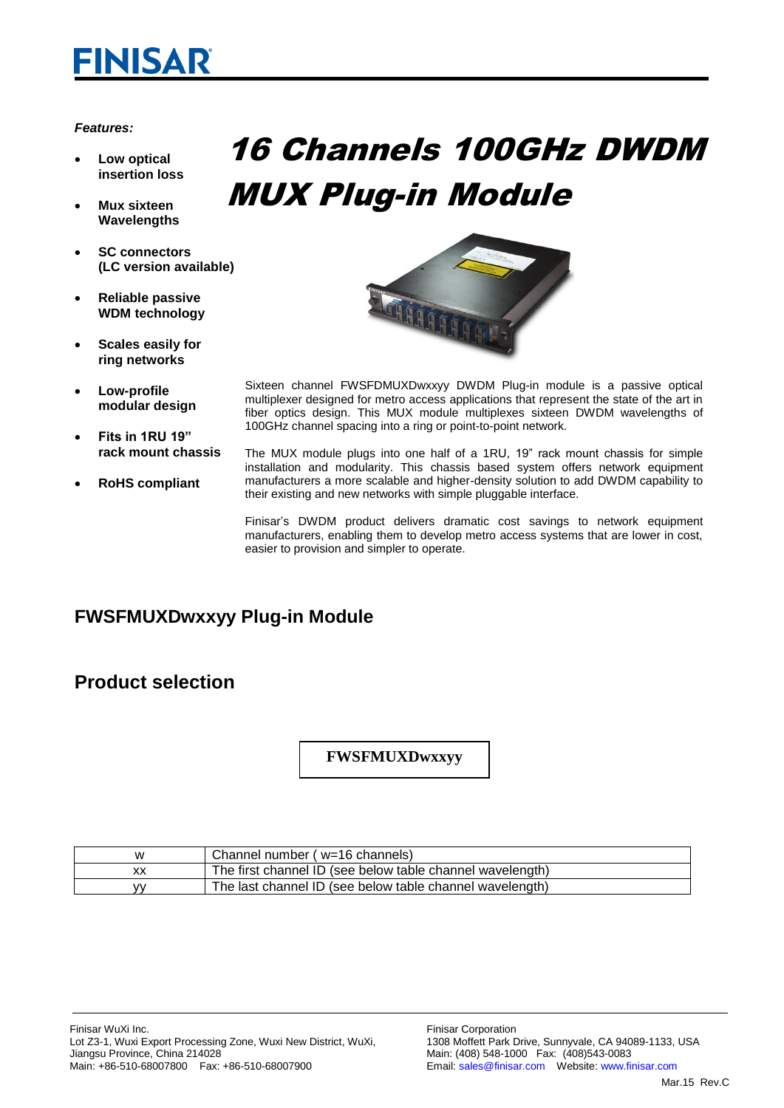# **FINISAR**

#### *Features:*

- **Low optical insertion loss**
- **Mux sixteen Wavelengths**
- **SC connectors (LC version available)**
- **Reliable passive WDM technology**
- **Scales easily for ring networks**
- **Low-profile modular design**
- **Fits in 1RU 19" rack mount chassis**
- **RoHS compliant**

# 16 Channels 100GHz DWDM MUX Plug-in Module



- Sixteen channel FWSFDMUXDwxxyy DWDM Plug-in module is a passive optical multiplexer designed for metro access applications that represent the state of the art in fiber optics design. This MUX module multiplexes sixteen DWDM wavelengths of 100GHz channel spacing into a ring or point-to-point network.
- The MUX module plugs into one half of a 1RU, 19" rack mount chassis for simple installation and modularity. This chassis based system offers network equipment manufacturers a more scalable and higher-density solution to add DWDM capability to their existing and new networks with simple pluggable interface.

Finisar's DWDM product delivers dramatic cost savings to network equipment manufacturers, enabling them to develop metro access systems that are lower in cost, easier to provision and simpler to operate.

## **FWSFMUXDwxxyy Plug-in Module**

### **Product selection**

### **FWSFMUXDwxxyy**

| w | Channel number (w=16 channels)                            |
|---|-----------------------------------------------------------|
|   | The first channel ID (see below table channel wavelength) |
| w | The last channel ID (see below table channel wavelength)  |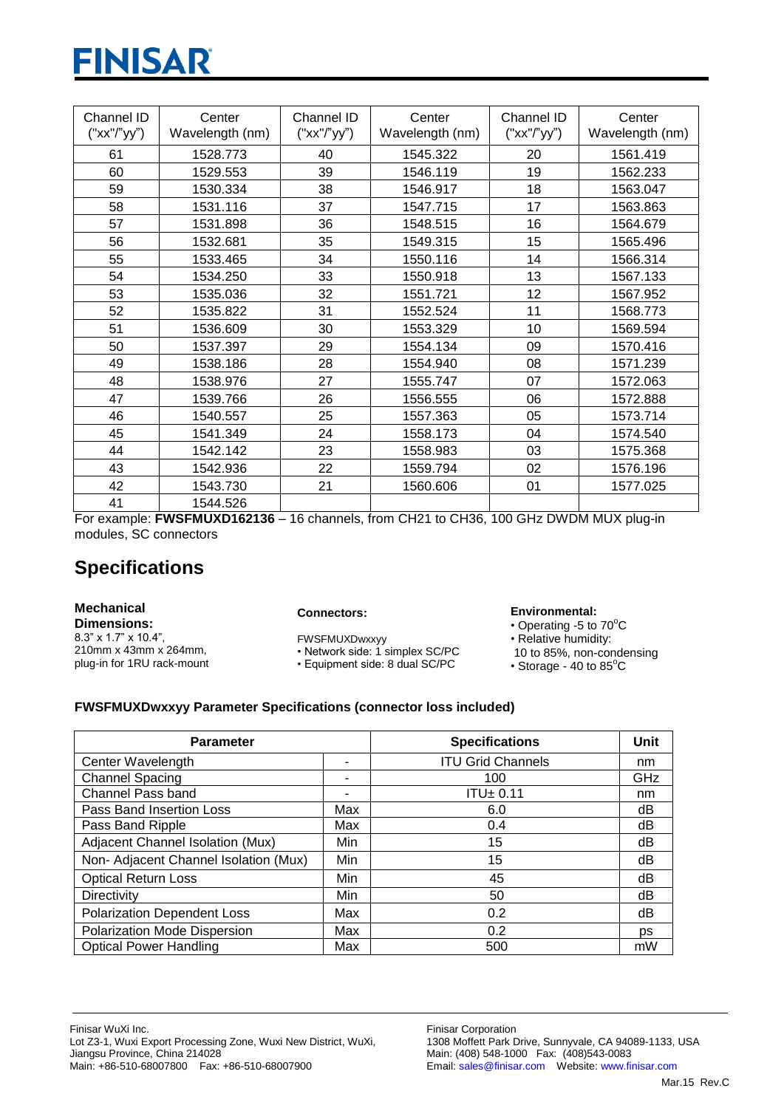# **FINISAR**

| Channel ID<br>("xx"/"yy") | Center<br>Wavelength (nm) | Channel ID<br>("xx"/"yy") | Center<br>Wavelength (nm) | Channel ID<br>("xx"/"yy") | Center<br>Wavelength (nm) |
|---------------------------|---------------------------|---------------------------|---------------------------|---------------------------|---------------------------|
| 61                        | 1528.773                  | 40                        | 1545.322                  | 20                        | 1561.419                  |
| 60                        | 1529.553                  | 39                        | 1546.119                  | 19                        | 1562.233                  |
| 59                        | 1530.334                  | 38                        | 1546.917                  | 18                        | 1563.047                  |
| 58                        | 1531.116                  | 37                        | 1547.715                  | 17                        | 1563.863                  |
| 57                        | 1531.898                  | 36                        | 1548.515                  | 16                        | 1564.679                  |
| 56                        | 1532.681                  | 35                        | 1549.315                  | 15                        | 1565.496                  |
| 55                        | 1533.465                  | 34                        | 1550.116                  | 14                        | 1566.314                  |
| 54                        | 1534.250                  | 33                        | 1550.918                  | 13                        | 1567.133                  |
| 53                        | 1535.036                  | 32                        | 1551.721                  | 12                        | 1567.952                  |
| 52                        | 1535.822                  | 31                        | 1552.524                  | 11                        | 1568.773                  |
| 51                        | 1536.609                  | 30                        | 1553.329                  | 10                        | 1569.594                  |
| 50                        | 1537.397                  | 29                        | 1554.134                  | 09                        | 1570.416                  |
| 49                        | 1538.186                  | 28                        | 1554.940                  | 08                        | 1571.239                  |
| 48                        | 1538.976                  | 27                        | 1555.747                  | 07                        | 1572.063                  |
| 47                        | 1539.766                  | 26                        | 1556.555                  | 06                        | 1572.888                  |
| 46                        | 1540.557                  | 25                        | 1557.363                  | 05                        | 1573.714                  |
| 45                        | 1541.349                  | 24                        | 1558.173                  | 04                        | 1574.540                  |
| 44                        | 1542.142                  | 23                        | 1558.983                  | 03                        | 1575.368                  |
| 43                        | 1542.936                  | 22                        | 1559.794                  | 02                        | 1576.196                  |
| 42                        | 1543.730                  | 21                        | 1560.606                  | 01                        | 1577.025                  |
| 41                        | 1544.526                  |                           |                           |                           |                           |

For example: **FWSFMUXD162136** – 16 channels, from CH21 to CH36, 100 GHz DWDM MUX plug-in modules, SC connectors

## **Specifications**

#### **Mechanical Dimensions:**

8.3" x 1.7" x 10.4", 210mm x 43mm x 264mm, plug-in for 1RU rack-mount

#### **Connectors:**

FWSFMUXDwxxyy

• Network side: 1 simplex SC/PC • Equipment side: 8 dual SC/PC

#### **Environmental:**

- $\cdot$  Operating -5 to 70 $^{\circ}$ C
- Relative humidity:
- 10 to 85%, non-condensing
- Storage 40 to  $85^{\circ}$ C

### **FWSFMUXDwxxyy Parameter Specifications (connector loss included)**

| <b>Parameter</b>                      |                | <b>Specifications</b>    | Unit |
|---------------------------------------|----------------|--------------------------|------|
| Center Wavelength                     | ٠              | <b>ITU Grid Channels</b> | nm   |
| <b>Channel Spacing</b>                | $\blacksquare$ | 100                      | GHz  |
| <b>Channel Pass band</b>              |                | ITU±0.11                 | nm   |
| Pass Band Insertion Loss              | Max            | 6.0                      | dB   |
| Pass Band Ripple                      | Max            | 0.4                      | dB   |
| Adjacent Channel Isolation (Mux)      | Min            | 15                       | dB   |
| Non- Adjacent Channel Isolation (Mux) | Min            | 15                       | dB   |
| <b>Optical Return Loss</b>            | Min            | 45                       | dB   |
| Directivity                           | Min            | 50                       | dB   |
| <b>Polarization Dependent Loss</b>    | Max            | 0.2                      | dB   |
| Polarization Mode Dispersion          | Max            | 0.2                      | ps   |
| <b>Optical Power Handling</b>         | Max            | 500                      | mW   |